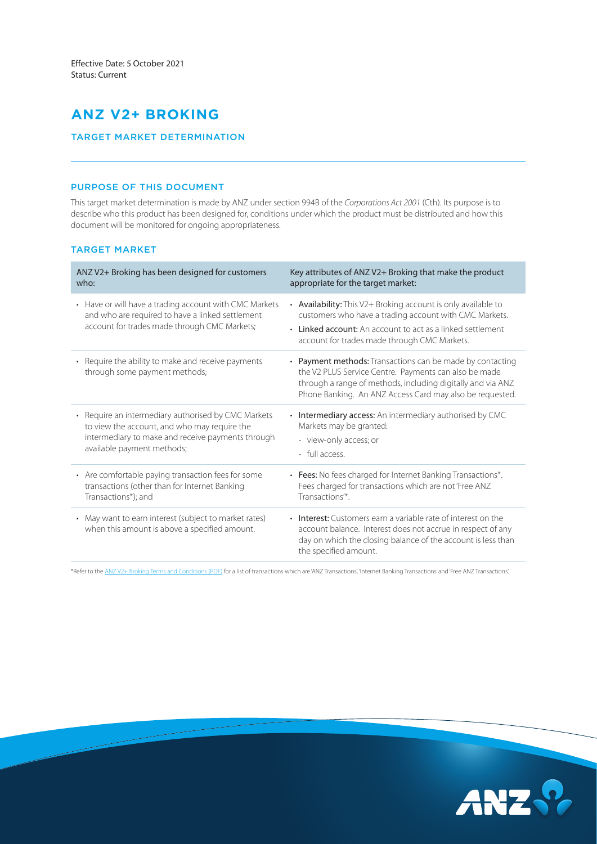# **ANZ V2+ BROKING**

## TARGET MARKET DETERMINATION

# PURPOSE OF THIS DOCUMENT

This target market determination is made by ANZ under section 994B of the *Corporations Act 2001* (Cth). Its purpose is to describe who this product has been designed for, conditions under which the product must be distributed and how this document will be monitored for ongoing appropriateness.

# TARGET MARKET

| ANZ V2+ Broking has been designed for customers                                                                                                            | Key attributes of ANZ V2+ Broking that make the product                                                                                                                                                                                       |
|------------------------------------------------------------------------------------------------------------------------------------------------------------|-----------------------------------------------------------------------------------------------------------------------------------------------------------------------------------------------------------------------------------------------|
| who:                                                                                                                                                       | appropriate for the target market:                                                                                                                                                                                                            |
| • Have or will have a trading account with CMC Markets<br>and who are required to have a linked settlement<br>account for trades made through CMC Markets; | • Availability: This V2+ Broking account is only available to<br>customers who have a trading account with CMC Markets.<br>• Linked account: An account to act as a linked settlement<br>account for trades made through CMC Markets.         |
| • Require the ability to make and receive payments<br>through some payment methods;                                                                        | • Payment methods: Transactions can be made by contacting<br>the V2 PLUS Service Centre. Payments can also be made<br>through a range of methods, including digitally and via ANZ<br>Phone Banking. An ANZ Access Card may also be requested. |
| • Require an intermediary authorised by CMC Markets                                                                                                        | • Intermediary access: An intermediary authorised by CMC                                                                                                                                                                                      |
| to view the account, and who may require the                                                                                                               | Markets may be granted:                                                                                                                                                                                                                       |
| intermediary to make and receive payments through                                                                                                          | - view-only access; or                                                                                                                                                                                                                        |
| available payment methods;                                                                                                                                 | - full access.                                                                                                                                                                                                                                |
| • Are comfortable paying transaction fees for some                                                                                                         | • Fees: No fees charged for Internet Banking Transactions*.                                                                                                                                                                                   |
| transactions (other than for Internet Banking                                                                                                              | Fees charged for transactions which are not 'Free ANZ                                                                                                                                                                                         |
| Transactions*); and                                                                                                                                        | Transactions <sup>'*</sup> .                                                                                                                                                                                                                  |
| • May want to earn interest (subject to market rates)<br>when this amount is above a specified amount.                                                     | • Interest: Customers earn a variable rate of interest on the<br>account balance. Interest does not accrue in respect of any<br>day on which the closing balance of the account is less than<br>the specified amount.                         |

\*Refer to the [ANZ V2+ Broking Terms and Conditions \(PDF\)](https://www.anz.com.au/content/dam/anzcomau/documents/pdf/v2-broking-terms-conditions.pdf) for a list of transactions which are 'ANZ Transactions', 'Internet Banking Transactions' and 'Free ANZ Transactions'.

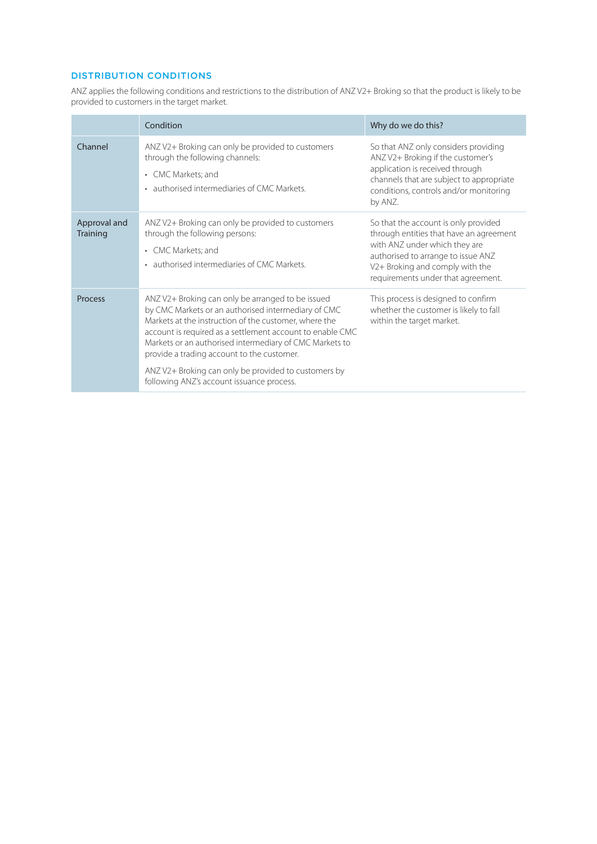# DISTRIBUTION CONDITIONS

ANZ applies the following conditions and restrictions to the distribution of ANZ V2+ Broking so that the product is likely to be provided to customers in the target market.

|                          | Condition                                                                                                                                                                                                                                                                                                                                                                                                                                    | Why do we do this?                                                                                                                                                                                                              |
|--------------------------|----------------------------------------------------------------------------------------------------------------------------------------------------------------------------------------------------------------------------------------------------------------------------------------------------------------------------------------------------------------------------------------------------------------------------------------------|---------------------------------------------------------------------------------------------------------------------------------------------------------------------------------------------------------------------------------|
| Channel                  | ANZ V2+ Broking can only be provided to customers<br>through the following channels:<br>CMC Markets; and<br>$\bullet$<br>• authorised intermediaries of CMC Markets.                                                                                                                                                                                                                                                                         | So that ANZ only considers providing<br>ANZ V2+ Broking if the customer's<br>application is received through<br>channels that are subject to appropriate<br>conditions, controls and/or monitoring<br>by ANZ.                   |
| Approval and<br>Training | ANZ V2+ Broking can only be provided to customers<br>through the following persons:<br>• CMC Markets; and<br>• authorised intermediaries of CMC Markets                                                                                                                                                                                                                                                                                      | So that the account is only provided<br>through entities that have an agreement<br>with ANZ under which they are<br>authorised to arrange to issue ANZ<br>V2+ Broking and comply with the<br>requirements under that agreement. |
| Process                  | ANZ V2+ Broking can only be arranged to be issued<br>by CMC Markets or an authorised intermediary of CMC<br>Markets at the instruction of the customer, where the<br>account is required as a settlement account to enable CMC<br>Markets or an authorised intermediary of CMC Markets to<br>provide a trading account to the customer.<br>ANZ V2+ Broking can only be provided to customers by<br>following ANZ's account issuance process. | This process is designed to confirm<br>whether the customer is likely to fall<br>within the target market.                                                                                                                      |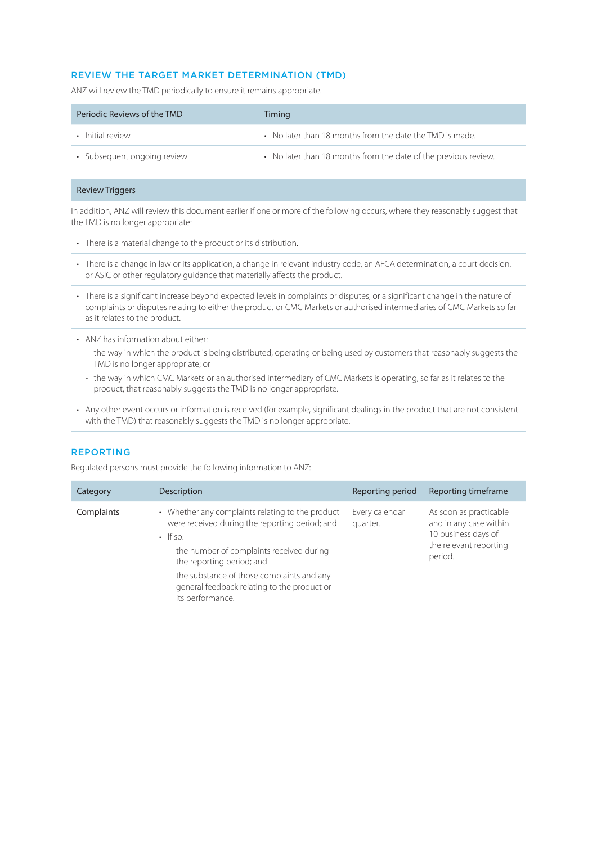# REVIEW THE TARGET MARKET DETERMINATION (TMD)

ANZ will review the TMD periodically to ensure it remains appropriate.

| Periodic Reviews of the TMD | Timing                                                          |
|-----------------------------|-----------------------------------------------------------------|
| • Initial review            | • No later than 18 months from the date the TMD is made.        |
| • Subsequent ongoing review | • No later than 18 months from the date of the previous review. |

### Review Triggers

In addition, ANZ will review this document earlier if one or more of the following occurs, where they reasonably suggest that the TMD is no longer appropriate:

- There is a material change to the product or its distribution.
- There is a change in law or its application, a change in relevant industry code, an AFCA determination, a court decision, or ASIC or other regulatory guidance that materially affects the product.
- There is a significant increase beyond expected levels in complaints or disputes, or a significant change in the nature of complaints or disputes relating to either the product or CMC Markets or authorised intermediaries of CMC Markets so far as it relates to the product.
- ANZ has information about either:
	- the way in which the product is being distributed, operating or being used by customers that reasonably suggests the TMD is no longer appropriate; or
	- the way in which CMC Markets or an authorised intermediary of CMC Markets is operating, so far as it relates to the product, that reasonably suggests the TMD is no longer appropriate.
- Any other event occurs or information is received (for example, significant dealings in the product that are not consistent with the TMD) that reasonably suggests the TMD is no longer appropriate.

### REPORTING

Regulated persons must provide the following information to ANZ:

| Category   | Description                                                                                                                                                                                                                                                                                                       | Reporting period           | Reporting timeframe                                                                                          |
|------------|-------------------------------------------------------------------------------------------------------------------------------------------------------------------------------------------------------------------------------------------------------------------------------------------------------------------|----------------------------|--------------------------------------------------------------------------------------------------------------|
| Complaints | • Whether any complaints relating to the product<br>were received during the reporting period; and<br>$\cdot$ If so:<br>- the number of complaints received during<br>the reporting period; and<br>- the substance of those complaints and any<br>general feedback relating to the product or<br>its performance. | Every calendar<br>quarter. | As soon as practicable<br>and in any case within<br>10 business days of<br>the relevant reporting<br>period. |